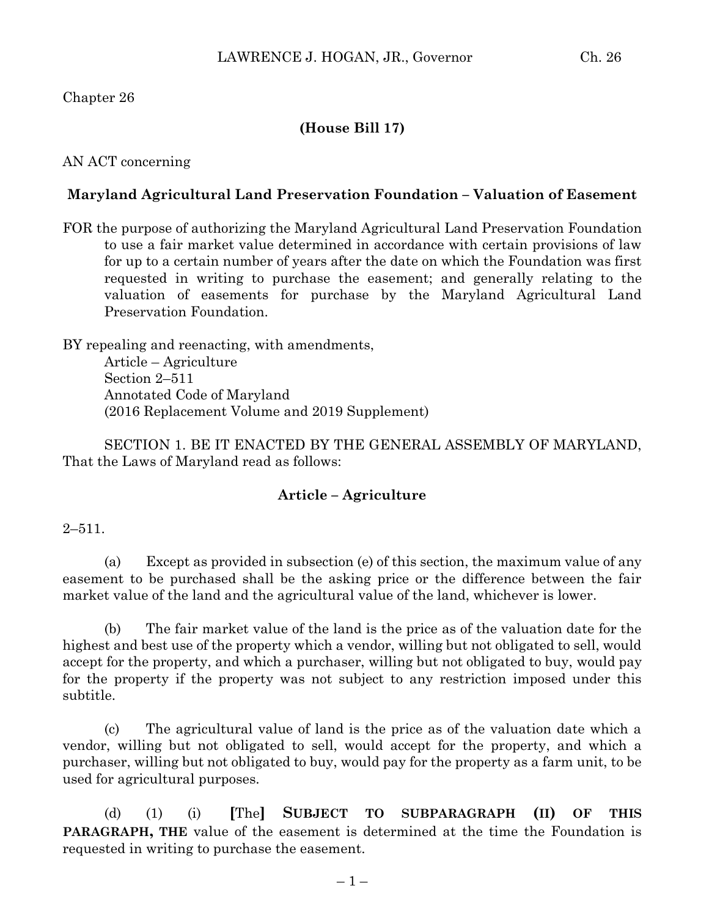# Chapter 26

# **(House Bill 17)**

### AN ACT concerning

## **Maryland Agricultural Land Preservation Foundation – Valuation of Easement**

FOR the purpose of authorizing the Maryland Agricultural Land Preservation Foundation to use a fair market value determined in accordance with certain provisions of law for up to a certain number of years after the date on which the Foundation was first requested in writing to purchase the easement; and generally relating to the valuation of easements for purchase by the Maryland Agricultural Land Preservation Foundation.

BY repealing and reenacting, with amendments, Article – Agriculture Section 2–511 Annotated Code of Maryland (2016 Replacement Volume and 2019 Supplement)

SECTION 1. BE IT ENACTED BY THE GENERAL ASSEMBLY OF MARYLAND, That the Laws of Maryland read as follows:

### **Article – Agriculture**

#### $2 - 511$ .

(a) Except as provided in subsection (e) of this section, the maximum value of any easement to be purchased shall be the asking price or the difference between the fair market value of the land and the agricultural value of the land, whichever is lower.

(b) The fair market value of the land is the price as of the valuation date for the highest and best use of the property which a vendor, willing but not obligated to sell, would accept for the property, and which a purchaser, willing but not obligated to buy, would pay for the property if the property was not subject to any restriction imposed under this subtitle.

(c) The agricultural value of land is the price as of the valuation date which a vendor, willing but not obligated to sell, would accept for the property, and which a purchaser, willing but not obligated to buy, would pay for the property as a farm unit, to be used for agricultural purposes.

(d) (1) (i) **[**The**] SUBJECT TO SUBPARAGRAPH (II) OF THIS PARAGRAPH, THE** value of the easement is determined at the time the Foundation is requested in writing to purchase the easement.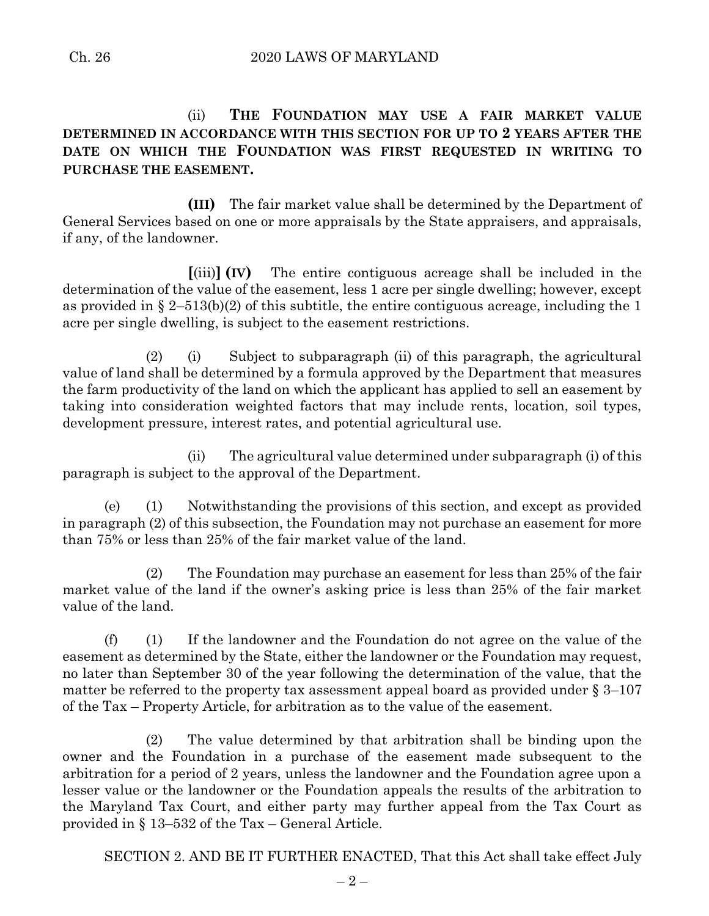(ii) **THE FOUNDATION MAY USE A FAIR MARKET VALUE DETERMINED IN ACCORDANCE WITH THIS SECTION FOR UP TO 2 YEARS AFTER THE DATE ON WHICH THE FOUNDATION WAS FIRST REQUESTED IN WRITING TO PURCHASE THE EASEMENT.**

**(III)** The fair market value shall be determined by the Department of General Services based on one or more appraisals by the State appraisers, and appraisals, if any, of the landowner.

**[**(iii)**] (IV)** The entire contiguous acreage shall be included in the determination of the value of the easement, less 1 acre per single dwelling; however, except as provided in  $\S 2-513(b)(2)$  of this subtitle, the entire contiguous acreage, including the 1 acre per single dwelling, is subject to the easement restrictions.

(2) (i) Subject to subparagraph (ii) of this paragraph, the agricultural value of land shall be determined by a formula approved by the Department that measures the farm productivity of the land on which the applicant has applied to sell an easement by taking into consideration weighted factors that may include rents, location, soil types, development pressure, interest rates, and potential agricultural use.

(ii) The agricultural value determined under subparagraph (i) of this paragraph is subject to the approval of the Department.

(e) (1) Notwithstanding the provisions of this section, and except as provided in paragraph (2) of this subsection, the Foundation may not purchase an easement for more than 75% or less than 25% of the fair market value of the land.

(2) The Foundation may purchase an easement for less than 25% of the fair market value of the land if the owner's asking price is less than 25% of the fair market value of the land.

(f) (1) If the landowner and the Foundation do not agree on the value of the easement as determined by the State, either the landowner or the Foundation may request, no later than September 30 of the year following the determination of the value, that the matter be referred to the property tax assessment appeal board as provided under § 3–107 of the Tax – Property Article, for arbitration as to the value of the easement.

(2) The value determined by that arbitration shall be binding upon the owner and the Foundation in a purchase of the easement made subsequent to the arbitration for a period of 2 years, unless the landowner and the Foundation agree upon a lesser value or the landowner or the Foundation appeals the results of the arbitration to the Maryland Tax Court, and either party may further appeal from the Tax Court as provided in § 13–532 of the Tax – General Article.

SECTION 2. AND BE IT FURTHER ENACTED, That this Act shall take effect July